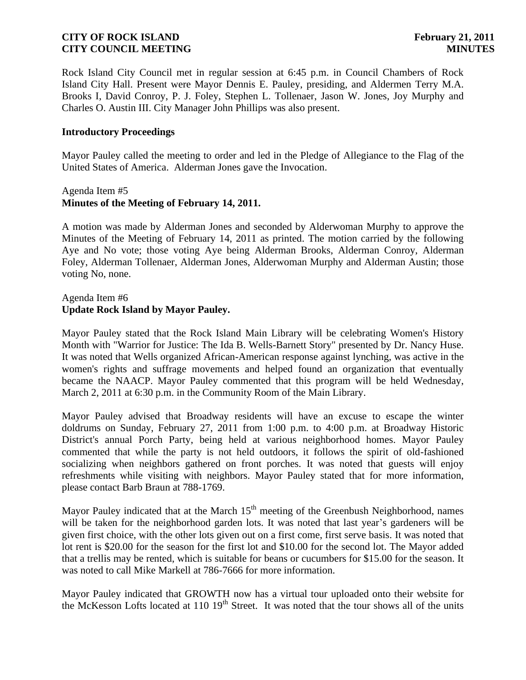Rock Island City Council met in regular session at 6:45 p.m. in Council Chambers of Rock Island City Hall. Present were Mayor Dennis E. Pauley, presiding, and Aldermen Terry M.A. Brooks I, David Conroy, P. J. Foley, Stephen L. Tollenaer, Jason W. Jones, Joy Murphy and Charles O. Austin III. City Manager John Phillips was also present.

#### **Introductory Proceedings**

Mayor Pauley called the meeting to order and led in the Pledge of Allegiance to the Flag of the United States of America. Alderman Jones gave the Invocation.

#### Agenda Item #5 **Minutes of the Meeting of February 14, 2011.**

A motion was made by Alderman Jones and seconded by Alderwoman Murphy to approve the Minutes of the Meeting of February 14, 2011 as printed. The motion carried by the following Aye and No vote; those voting Aye being Alderman Brooks, Alderman Conroy, Alderman Foley, Alderman Tollenaer, Alderman Jones, Alderwoman Murphy and Alderman Austin; those voting No, none.

#### Agenda Item #6 **Update Rock Island by Mayor Pauley.**

Mayor Pauley stated that the Rock Island Main Library will be celebrating Women's History Month with "Warrior for Justice: The Ida B. Wells-Barnett Story" presented by Dr. Nancy Huse. It was noted that Wells organized African-American response against lynching, was active in the women's rights and suffrage movements and helped found an organization that eventually became the NAACP. Mayor Pauley commented that this program will be held Wednesday, March 2, 2011 at 6:30 p.m. in the Community Room of the Main Library.

Mayor Pauley advised that Broadway residents will have an excuse to escape the winter doldrums on Sunday, February 27, 2011 from 1:00 p.m. to 4:00 p.m. at Broadway Historic District's annual Porch Party, being held at various neighborhood homes. Mayor Pauley commented that while the party is not held outdoors, it follows the spirit of old-fashioned socializing when neighbors gathered on front porches. It was noted that guests will enjoy refreshments while visiting with neighbors. Mayor Pauley stated that for more information, please contact Barb Braun at 788-1769.

Mayor Pauley indicated that at the March  $15<sup>th</sup>$  meeting of the Greenbush Neighborhood, names will be taken for the neighborhood garden lots. It was noted that last year's gardeners will be given first choice, with the other lots given out on a first come, first serve basis. It was noted that lot rent is \$20.00 for the season for the first lot and \$10.00 for the second lot. The Mayor added that a trellis may be rented, which is suitable for beans or cucumbers for \$15.00 for the season. It was noted to call Mike Markell at 786-7666 for more information.

Mayor Pauley indicated that GROWTH now has a virtual tour uploaded onto their website for the McKesson Lofts located at  $110\ 19<sup>th</sup>$  Street. It was noted that the tour shows all of the units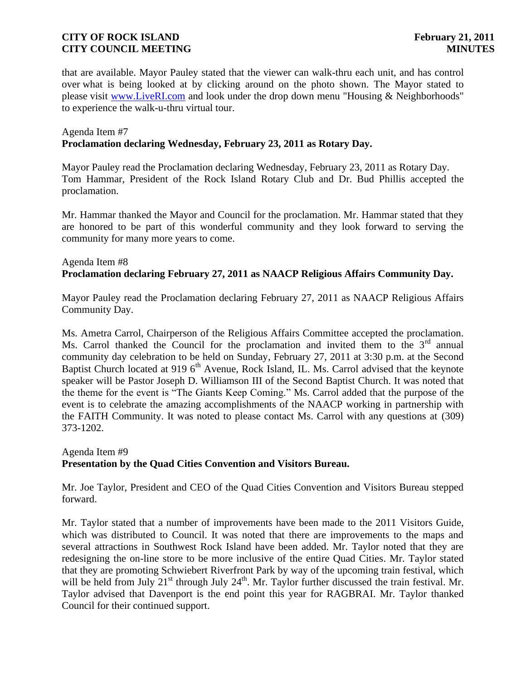that are available. Mayor Pauley stated that the viewer can walk-thru each unit, and has control over what is being looked at by clicking around on the photo shown. The Mayor stated to please visit [www.LiveRI.com](http://r20.rs6.net/tn.jsp?llr=74ity5bab&et=1104469737826&s=529&e=001s5WLTCrk_uhdZwNgxkpfsDy6M1WkN_edE9HuqKjR24ttcId-LdHFwz-omu4OlWeFS0J7yljDUdfXdggx8fKM5mgIWweqZAcOcQ4v-KBwPhA=) and look under the drop down menu "Housing & Neighborhoods" to experience the walk-u-thru virtual tour.

#### Agenda Item #7 **Proclamation declaring Wednesday, February 23, 2011 as Rotary Day.**

Mayor Pauley read the Proclamation declaring Wednesday, February 23, 2011 as Rotary Day. Tom Hammar, President of the Rock Island Rotary Club and Dr. Bud Phillis accepted the proclamation.

Mr. Hammar thanked the Mayor and Council for the proclamation. Mr. Hammar stated that they are honored to be part of this wonderful community and they look forward to serving the community for many more years to come.

# Agenda Item #8 **Proclamation declaring February 27, 2011 as NAACP Religious Affairs Community Day.**

Mayor Pauley read the Proclamation declaring February 27, 2011 as NAACP Religious Affairs Community Day.

Ms. Ametra Carrol, Chairperson of the Religious Affairs Committee accepted the proclamation. Ms. Carrol thanked the Council for the proclamation and invited them to the  $3<sup>rd</sup>$  annual community day celebration to be held on Sunday, February 27, 2011 at 3:30 p.m. at the Second Baptist Church located at 919  $6<sup>th</sup>$  Avenue, Rock Island, IL. Ms. Carrol advised that the keynote speaker will be Pastor Joseph D. Williamson III of the Second Baptist Church. It was noted that the theme for the event is "The Giants Keep Coming." Ms. Carrol added that the purpose of the event is to celebrate the amazing accomplishments of the NAACP working in partnership with the FAITH Community. It was noted to please contact Ms. Carrol with any questions at (309) 373-1202.

# Agenda Item #9 **Presentation by the Quad Cities Convention and Visitors Bureau.**

Mr. Joe Taylor, President and CEO of the Quad Cities Convention and Visitors Bureau stepped forward.

Mr. Taylor stated that a number of improvements have been made to the 2011 Visitors Guide, which was distributed to Council. It was noted that there are improvements to the maps and several attractions in Southwest Rock Island have been added. Mr. Taylor noted that they are redesigning the on-line store to be more inclusive of the entire Quad Cities. Mr. Taylor stated that they are promoting Schwiebert Riverfront Park by way of the upcoming train festival, which will be held from July  $21^{st}$  through July  $24^{th}$ . Mr. Taylor further discussed the train festival. Mr. Taylor advised that Davenport is the end point this year for RAGBRAI. Mr. Taylor thanked Council for their continued support.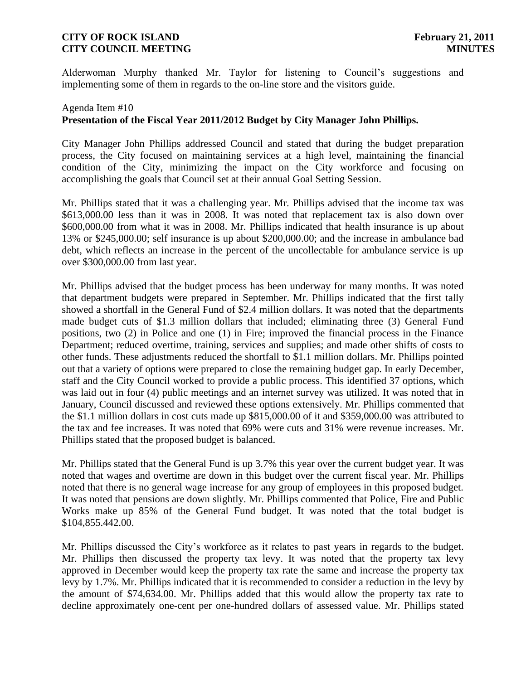Alderwoman Murphy thanked Mr. Taylor for listening to Council's suggestions and implementing some of them in regards to the on-line store and the visitors guide.

# Agenda Item #10 **Presentation of the Fiscal Year 2011/2012 Budget by City Manager John Phillips.**

City Manager John Phillips addressed Council and stated that during the budget preparation process, the City focused on maintaining services at a high level, maintaining the financial condition of the City, minimizing the impact on the City workforce and focusing on accomplishing the goals that Council set at their annual Goal Setting Session.

Mr. Phillips stated that it was a challenging year. Mr. Phillips advised that the income tax was \$613,000.00 less than it was in 2008. It was noted that replacement tax is also down over \$600,000.00 from what it was in 2008. Mr. Phillips indicated that health insurance is up about 13% or \$245,000.00; self insurance is up about \$200,000.00; and the increase in ambulance bad debt, which reflects an increase in the percent of the uncollectable for ambulance service is up over \$300,000.00 from last year.

Mr. Phillips advised that the budget process has been underway for many months. It was noted that department budgets were prepared in September. Mr. Phillips indicated that the first tally showed a shortfall in the General Fund of \$2.4 million dollars. It was noted that the departments made budget cuts of \$1.3 million dollars that included; eliminating three (3) General Fund positions, two (2) in Police and one (1) in Fire; improved the financial process in the Finance Department; reduced overtime, training, services and supplies; and made other shifts of costs to other funds. These adjustments reduced the shortfall to \$1.1 million dollars. Mr. Phillips pointed out that a variety of options were prepared to close the remaining budget gap. In early December, staff and the City Council worked to provide a public process. This identified 37 options, which was laid out in four (4) public meetings and an internet survey was utilized. It was noted that in January, Council discussed and reviewed these options extensively. Mr. Phillips commented that the \$1.1 million dollars in cost cuts made up \$815,000.00 of it and \$359,000.00 was attributed to the tax and fee increases. It was noted that 69% were cuts and 31% were revenue increases. Mr. Phillips stated that the proposed budget is balanced.

Mr. Phillips stated that the General Fund is up 3.7% this year over the current budget year. It was noted that wages and overtime are down in this budget over the current fiscal year. Mr. Phillips noted that there is no general wage increase for any group of employees in this proposed budget. It was noted that pensions are down slightly. Mr. Phillips commented that Police, Fire and Public Works make up 85% of the General Fund budget. It was noted that the total budget is \$104,855.442.00.

Mr. Phillips discussed the City's workforce as it relates to past years in regards to the budget. Mr. Phillips then discussed the property tax levy. It was noted that the property tax levy approved in December would keep the property tax rate the same and increase the property tax levy by 1.7%. Mr. Phillips indicated that it is recommended to consider a reduction in the levy by the amount of \$74,634.00. Mr. Phillips added that this would allow the property tax rate to decline approximately one-cent per one-hundred dollars of assessed value. Mr. Phillips stated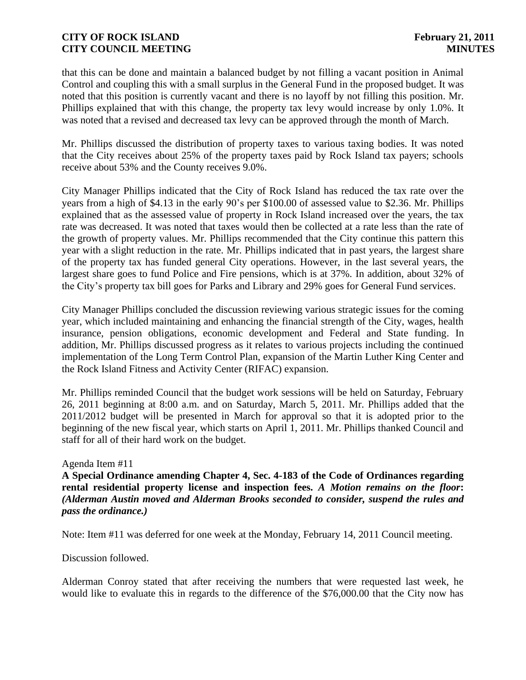that this can be done and maintain a balanced budget by not filling a vacant position in Animal Control and coupling this with a small surplus in the General Fund in the proposed budget. It was noted that this position is currently vacant and there is no layoff by not filling this position. Mr. Phillips explained that with this change, the property tax levy would increase by only 1.0%. It was noted that a revised and decreased tax levy can be approved through the month of March.

Mr. Phillips discussed the distribution of property taxes to various taxing bodies. It was noted that the City receives about 25% of the property taxes paid by Rock Island tax payers; schools receive about 53% and the County receives 9.0%.

City Manager Phillips indicated that the City of Rock Island has reduced the tax rate over the years from a high of \$4.13 in the early 90's per \$100.00 of assessed value to \$2.36. Mr. Phillips explained that as the assessed value of property in Rock Island increased over the years, the tax rate was decreased. It was noted that taxes would then be collected at a rate less than the rate of the growth of property values. Mr. Phillips recommended that the City continue this pattern this year with a slight reduction in the rate. Mr. Phillips indicated that in past years, the largest share of the property tax has funded general City operations. However, in the last several years, the largest share goes to fund Police and Fire pensions, which is at 37%. In addition, about 32% of the City's property tax bill goes for Parks and Library and 29% goes for General Fund services.

City Manager Phillips concluded the discussion reviewing various strategic issues for the coming year, which included maintaining and enhancing the financial strength of the City, wages, health insurance, pension obligations, economic development and Federal and State funding. In addition, Mr. Phillips discussed progress as it relates to various projects including the continued implementation of the Long Term Control Plan, expansion of the Martin Luther King Center and the Rock Island Fitness and Activity Center (RIFAC) expansion.

Mr. Phillips reminded Council that the budget work sessions will be held on Saturday, February 26, 2011 beginning at 8:00 a.m. and on Saturday, March 5, 2011. Mr. Phillips added that the 2011/2012 budget will be presented in March for approval so that it is adopted prior to the beginning of the new fiscal year, which starts on April 1, 2011. Mr. Phillips thanked Council and staff for all of their hard work on the budget.

#### Agenda Item #11

**A Special Ordinance amending Chapter 4, Sec. 4-183 of the Code of Ordinances regarding rental residential property license and inspection fees.** *A Motion remains on the floor***:**  *(Alderman Austin moved and Alderman Brooks seconded to consider, suspend the rules and pass the ordinance.)*

Note: Item #11 was deferred for one week at the Monday, February 14, 2011 Council meeting.

Discussion followed.

Alderman Conroy stated that after receiving the numbers that were requested last week, he would like to evaluate this in regards to the difference of the \$76,000.00 that the City now has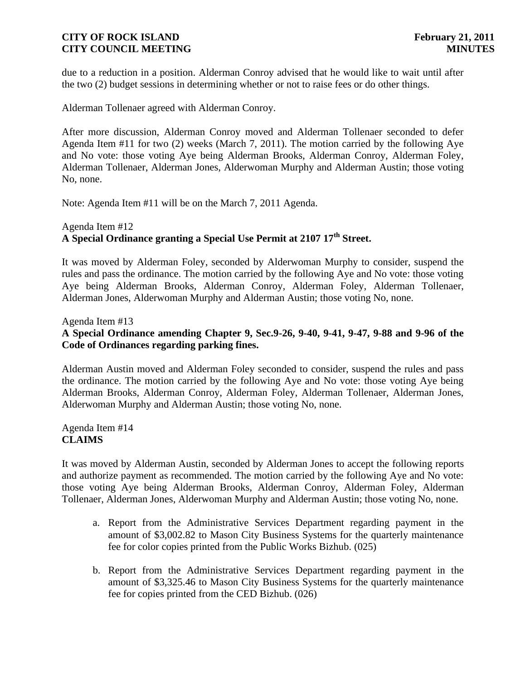due to a reduction in a position. Alderman Conroy advised that he would like to wait until after the two (2) budget sessions in determining whether or not to raise fees or do other things.

Alderman Tollenaer agreed with Alderman Conroy.

After more discussion, Alderman Conroy moved and Alderman Tollenaer seconded to defer Agenda Item #11 for two (2) weeks (March 7, 2011). The motion carried by the following Aye and No vote: those voting Aye being Alderman Brooks, Alderman Conroy, Alderman Foley, Alderman Tollenaer, Alderman Jones, Alderwoman Murphy and Alderman Austin; those voting No, none.

Note: Agenda Item #11 will be on the March 7, 2011 Agenda.

## Agenda Item #12 **A Special Ordinance granting a Special Use Permit at 2107 17th Street.**

It was moved by Alderman Foley, seconded by Alderwoman Murphy to consider, suspend the rules and pass the ordinance. The motion carried by the following Aye and No vote: those voting Aye being Alderman Brooks, Alderman Conroy, Alderman Foley, Alderman Tollenaer, Alderman Jones, Alderwoman Murphy and Alderman Austin; those voting No, none.

Agenda Item #13

# **A Special Ordinance amending Chapter 9, Sec.9-26, 9-40, 9-41, 9-47, 9-88 and 9-96 of the Code of Ordinances regarding parking fines.**

Alderman Austin moved and Alderman Foley seconded to consider, suspend the rules and pass the ordinance. The motion carried by the following Aye and No vote: those voting Aye being Alderman Brooks, Alderman Conroy, Alderman Foley, Alderman Tollenaer, Alderman Jones, Alderwoman Murphy and Alderman Austin; those voting No, none.

Agenda Item #14 **CLAIMS**

It was moved by Alderman Austin, seconded by Alderman Jones to accept the following reports and authorize payment as recommended. The motion carried by the following Aye and No vote: those voting Aye being Alderman Brooks, Alderman Conroy, Alderman Foley, Alderman Tollenaer, Alderman Jones, Alderwoman Murphy and Alderman Austin; those voting No, none.

- a. Report from the Administrative Services Department regarding payment in the amount of \$3,002.82 to Mason City Business Systems for the quarterly maintenance fee for color copies printed from the Public Works Bizhub. (025)
- b. Report from the Administrative Services Department regarding payment in the amount of \$3,325.46 to Mason City Business Systems for the quarterly maintenance fee for copies printed from the CED Bizhub. (026)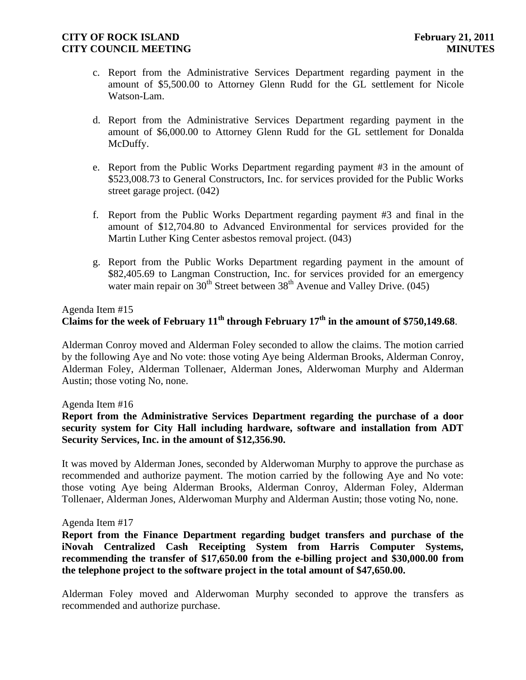- c. Report from the Administrative Services Department regarding payment in the amount of \$5,500.00 to Attorney Glenn Rudd for the GL settlement for Nicole Watson-Lam.
- d. Report from the Administrative Services Department regarding payment in the amount of \$6,000.00 to Attorney Glenn Rudd for the GL settlement for Donalda McDuffy.
- e. Report from the Public Works Department regarding payment #3 in the amount of \$523,008.73 to General Constructors, Inc. for services provided for the Public Works street garage project. (042)
- f. Report from the Public Works Department regarding payment #3 and final in the amount of \$12,704.80 to Advanced Environmental for services provided for the Martin Luther King Center asbestos removal project. (043)
- g. Report from the Public Works Department regarding payment in the amount of \$82,405.69 to Langman Construction, Inc. for services provided for an emergency water main repair on  $30<sup>th</sup>$  Street between  $38<sup>th</sup>$  Avenue and Valley Drive. (045)

## Agenda Item #15 **Claims for the week of February 11th through February 17th in the amount of \$750,149.68**.

Alderman Conroy moved and Alderman Foley seconded to allow the claims. The motion carried by the following Aye and No vote: those voting Aye being Alderman Brooks, Alderman Conroy, Alderman Foley, Alderman Tollenaer, Alderman Jones, Alderwoman Murphy and Alderman Austin; those voting No, none.

#### Agenda Item #16

## **Report from the Administrative Services Department regarding the purchase of a door security system for City Hall including hardware, software and installation from ADT Security Services, Inc. in the amount of \$12,356.90.**

It was moved by Alderman Jones, seconded by Alderwoman Murphy to approve the purchase as recommended and authorize payment. The motion carried by the following Aye and No vote: those voting Aye being Alderman Brooks, Alderman Conroy, Alderman Foley, Alderman Tollenaer, Alderman Jones, Alderwoman Murphy and Alderman Austin; those voting No, none.

#### Agenda Item #17

**Report from the Finance Department regarding budget transfers and purchase of the iNovah Centralized Cash Receipting System from Harris Computer Systems, recommending the transfer of \$17,650.00 from the e-billing project and \$30,000.00 from the telephone project to the software project in the total amount of \$47,650.00.**

Alderman Foley moved and Alderwoman Murphy seconded to approve the transfers as recommended and authorize purchase.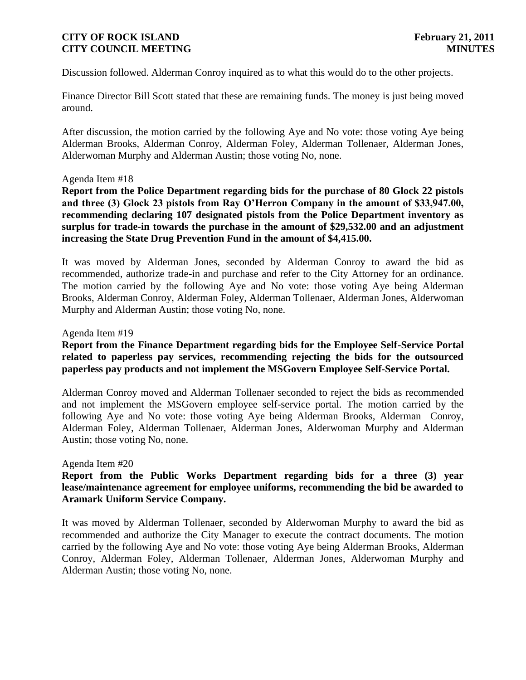Discussion followed. Alderman Conroy inquired as to what this would do to the other projects.

Finance Director Bill Scott stated that these are remaining funds. The money is just being moved around.

After discussion, the motion carried by the following Aye and No vote: those voting Aye being Alderman Brooks, Alderman Conroy, Alderman Foley, Alderman Tollenaer, Alderman Jones, Alderwoman Murphy and Alderman Austin; those voting No, none.

#### Agenda Item #18

**Report from the Police Department regarding bids for the purchase of 80 Glock 22 pistols and three (3) Glock 23 pistols from Ray O'Herron Company in the amount of \$33,947.00, recommending declaring 107 designated pistols from the Police Department inventory as surplus for trade-in towards the purchase in the amount of \$29,532.00 and an adjustment increasing the State Drug Prevention Fund in the amount of \$4,415.00.** 

It was moved by Alderman Jones, seconded by Alderman Conroy to award the bid as recommended, authorize trade-in and purchase and refer to the City Attorney for an ordinance. The motion carried by the following Aye and No vote: those voting Aye being Alderman Brooks, Alderman Conroy, Alderman Foley, Alderman Tollenaer, Alderman Jones, Alderwoman Murphy and Alderman Austin; those voting No, none.

#### Agenda Item #19

# **Report from the Finance Department regarding bids for the Employee Self-Service Portal related to paperless pay services, recommending rejecting the bids for the outsourced paperless pay products and not implement the MSGovern Employee Self-Service Portal.**

Alderman Conroy moved and Alderman Tollenaer seconded to reject the bids as recommended and not implement the MSGovern employee self-service portal. The motion carried by the following Aye and No vote: those voting Aye being Alderman Brooks, Alderman Conroy, Alderman Foley, Alderman Tollenaer, Alderman Jones, Alderwoman Murphy and Alderman Austin; those voting No, none.

#### Agenda Item #20

# **Report from the Public Works Department regarding bids for a three (3) year lease/maintenance agreement for employee uniforms, recommending the bid be awarded to Aramark Uniform Service Company.**

It was moved by Alderman Tollenaer, seconded by Alderwoman Murphy to award the bid as recommended and authorize the City Manager to execute the contract documents. The motion carried by the following Aye and No vote: those voting Aye being Alderman Brooks, Alderman Conroy, Alderman Foley, Alderman Tollenaer, Alderman Jones, Alderwoman Murphy and Alderman Austin; those voting No, none.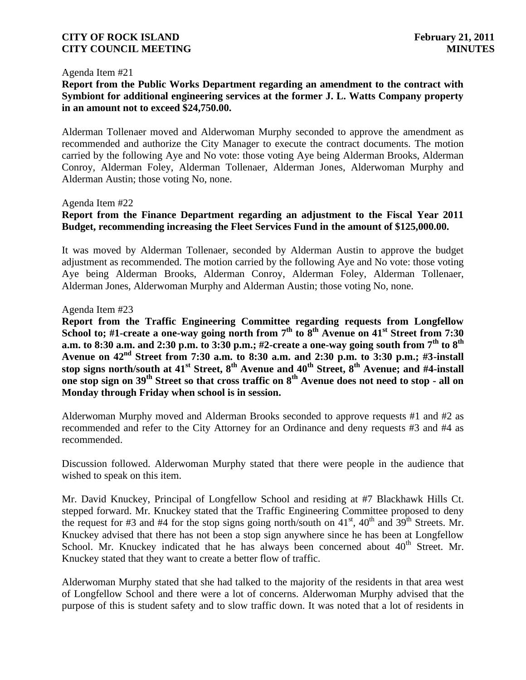#### Agenda Item #21

**Report from the Public Works Department regarding an amendment to the contract with Symbiont for additional engineering services at the former J. L. Watts Company property in an amount not to exceed \$24,750.00.**

Alderman Tollenaer moved and Alderwoman Murphy seconded to approve the amendment as recommended and authorize the City Manager to execute the contract documents. The motion carried by the following Aye and No vote: those voting Aye being Alderman Brooks, Alderman Conroy, Alderman Foley, Alderman Tollenaer, Alderman Jones, Alderwoman Murphy and Alderman Austin; those voting No, none.

#### Agenda Item #22

# **Report from the Finance Department regarding an adjustment to the Fiscal Year 2011 Budget, recommending increasing the Fleet Services Fund in the amount of \$125,000.00.**

It was moved by Alderman Tollenaer, seconded by Alderman Austin to approve the budget adjustment as recommended. The motion carried by the following Aye and No vote: those voting Aye being Alderman Brooks, Alderman Conroy, Alderman Foley, Alderman Tollenaer, Alderman Jones, Alderwoman Murphy and Alderman Austin; those voting No, none.

#### Agenda Item #23

**Report from the Traffic Engineering Committee regarding requests from Longfellow**  School to; #1-create a one-way going north from 7<sup>th</sup> to 8<sup>th</sup> Avenue on 41<sup>st</sup> Street from 7:30 **a.m. to 8:30 a.m. and 2:30 p.m. to 3:30 p.m.; #2-create a one-way going south from 7th to 8th Avenue on 42nd Street from 7:30 a.m. to 8:30 a.m. and 2:30 p.m. to 3:30 p.m.; #3-install stop signs north/south at 41st Street, 8th Avenue and 40th Street, 8th Avenue; and #4-install one stop sign on 39th Street so that cross traffic on 8th Avenue does not need to stop - all on Monday through Friday when school is in session.** 

Alderwoman Murphy moved and Alderman Brooks seconded to approve requests #1 and #2 as recommended and refer to the City Attorney for an Ordinance and deny requests #3 and #4 as recommended.

Discussion followed. Alderwoman Murphy stated that there were people in the audience that wished to speak on this item.

Mr. David Knuckey, Principal of Longfellow School and residing at #7 Blackhawk Hills Ct. stepped forward. Mr. Knuckey stated that the Traffic Engineering Committee proposed to deny the request for #3 and #4 for the stop signs going north/south on  $41<sup>st</sup>$ ,  $40<sup>th</sup>$  and  $39<sup>th</sup>$  Streets. Mr. Knuckey advised that there has not been a stop sign anywhere since he has been at Longfellow School. Mr. Knuckey indicated that he has always been concerned about  $40<sup>th</sup>$  Street. Mr. Knuckey stated that they want to create a better flow of traffic.

Alderwoman Murphy stated that she had talked to the majority of the residents in that area west of Longfellow School and there were a lot of concerns. Alderwoman Murphy advised that the purpose of this is student safety and to slow traffic down. It was noted that a lot of residents in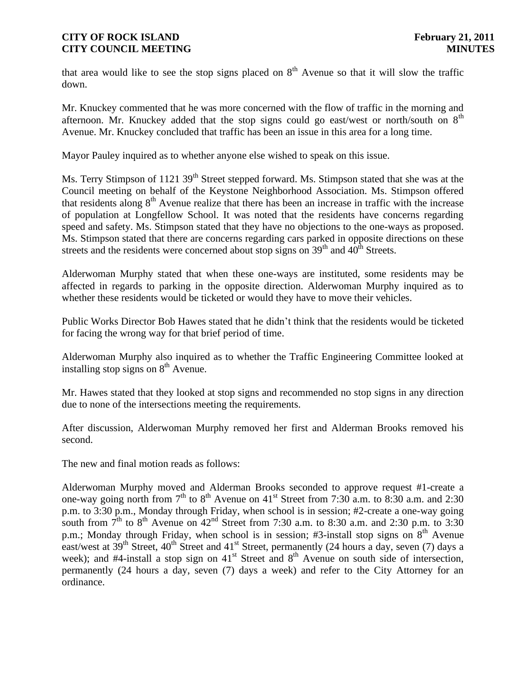that area would like to see the stop signs placed on  $8<sup>th</sup>$  Avenue so that it will slow the traffic down.

Mr. Knuckey commented that he was more concerned with the flow of traffic in the morning and afternoon. Mr. Knuckey added that the stop signs could go east/west or north/south on  $8<sup>th</sup>$ Avenue. Mr. Knuckey concluded that traffic has been an issue in this area for a long time.

Mayor Pauley inquired as to whether anyone else wished to speak on this issue.

Ms. Terry Stimpson of 1121 39<sup>th</sup> Street stepped forward. Ms. Stimpson stated that she was at the Council meeting on behalf of the Keystone Neighborhood Association. Ms. Stimpson offered that residents along  $8<sup>th</sup>$  Avenue realize that there has been an increase in traffic with the increase of population at Longfellow School. It was noted that the residents have concerns regarding speed and safety. Ms. Stimpson stated that they have no objections to the one-ways as proposed. Ms. Stimpson stated that there are concerns regarding cars parked in opposite directions on these streets and the residents were concerned about stop signs on  $39<sup>th</sup>$  and  $40<sup>th</sup>$  Streets.

Alderwoman Murphy stated that when these one-ways are instituted, some residents may be affected in regards to parking in the opposite direction. Alderwoman Murphy inquired as to whether these residents would be ticketed or would they have to move their vehicles.

Public Works Director Bob Hawes stated that he didn't think that the residents would be ticketed for facing the wrong way for that brief period of time.

Alderwoman Murphy also inquired as to whether the Traffic Engineering Committee looked at installing stop signs on  $8<sup>th</sup>$  Avenue.

Mr. Hawes stated that they looked at stop signs and recommended no stop signs in any direction due to none of the intersections meeting the requirements.

After discussion, Alderwoman Murphy removed her first and Alderman Brooks removed his second.

The new and final motion reads as follows:

Alderwoman Murphy moved and Alderman Brooks seconded to approve request #1-create a one-way going north from  $7<sup>th</sup>$  to  $8<sup>th</sup>$  Avenue on  $41<sup>st</sup>$  Street from 7:30 a.m. to 8:30 a.m. and 2:30 p.m. to 3:30 p.m., Monday through Friday, when school is in session; #2-create a one-way going south from  $7<sup>th</sup>$  to  $8<sup>th</sup>$  Avenue on  $42<sup>nd</sup>$  Street from 7:30 a.m. to 8:30 a.m. and 2:30 p.m. to 3:30 p.m.; Monday through Friday, when school is in session; #3-install stop signs on  $8<sup>th</sup>$  Avenue east/west at  $39<sup>th</sup>$  Street,  $40<sup>th</sup>$  Street and  $41<sup>st</sup>$  Street, permanently (24 hours a day, seven (7) days a week); and  $#4$ -install a stop sign on  $41<sup>st</sup>$  Street and  $8<sup>th</sup>$  Avenue on south side of intersection, permanently (24 hours a day, seven (7) days a week) and refer to the City Attorney for an ordinance.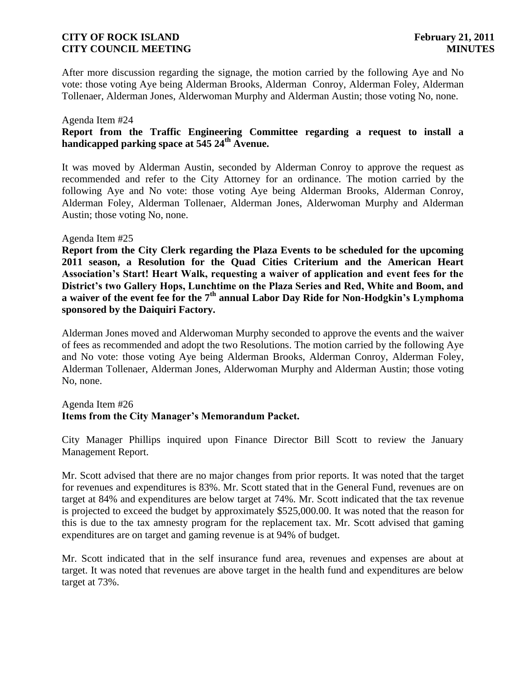After more discussion regarding the signage, the motion carried by the following Aye and No vote: those voting Aye being Alderman Brooks, Alderman Conroy, Alderman Foley, Alderman Tollenaer, Alderman Jones, Alderwoman Murphy and Alderman Austin; those voting No, none.

#### Agenda Item #24

## **Report from the Traffic Engineering Committee regarding a request to install a handicapped parking space at 545 24th Avenue.**

It was moved by Alderman Austin, seconded by Alderman Conroy to approve the request as recommended and refer to the City Attorney for an ordinance. The motion carried by the following Aye and No vote: those voting Aye being Alderman Brooks, Alderman Conroy, Alderman Foley, Alderman Tollenaer, Alderman Jones, Alderwoman Murphy and Alderman Austin; those voting No, none.

#### Agenda Item #25

**Report from the City Clerk regarding the Plaza Events to be scheduled for the upcoming 2011 season, a Resolution for the Quad Cities Criterium and the American Heart Association's Start! Heart Walk, requesting a waiver of application and event fees for the District's two Gallery Hops, Lunchtime on the Plaza Series and Red, White and Boom, and a waiver of the event fee for the 7th annual Labor Day Ride for Non-Hodgkin's Lymphoma sponsored by the Daiquiri Factory.**

Alderman Jones moved and Alderwoman Murphy seconded to approve the events and the waiver of fees as recommended and adopt the two Resolutions. The motion carried by the following Aye and No vote: those voting Aye being Alderman Brooks, Alderman Conroy, Alderman Foley, Alderman Tollenaer, Alderman Jones, Alderwoman Murphy and Alderman Austin; those voting No, none.

## Agenda Item #26 **Items from the City Manager's Memorandum Packet.**

City Manager Phillips inquired upon Finance Director Bill Scott to review the January Management Report.

Mr. Scott advised that there are no major changes from prior reports. It was noted that the target for revenues and expenditures is 83%. Mr. Scott stated that in the General Fund, revenues are on target at 84% and expenditures are below target at 74%. Mr. Scott indicated that the tax revenue is projected to exceed the budget by approximately \$525,000.00. It was noted that the reason for this is due to the tax amnesty program for the replacement tax. Mr. Scott advised that gaming expenditures are on target and gaming revenue is at 94% of budget.

Mr. Scott indicated that in the self insurance fund area, revenues and expenses are about at target. It was noted that revenues are above target in the health fund and expenditures are below target at 73%.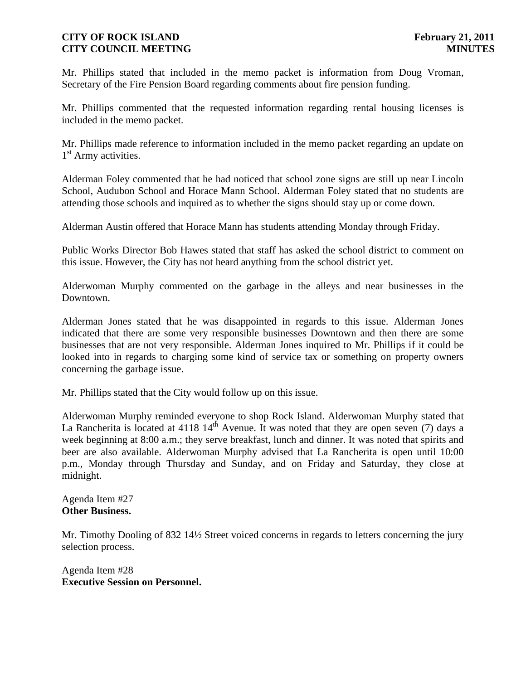Mr. Phillips stated that included in the memo packet is information from Doug Vroman, Secretary of the Fire Pension Board regarding comments about fire pension funding.

Mr. Phillips commented that the requested information regarding rental housing licenses is included in the memo packet.

Mr. Phillips made reference to information included in the memo packet regarding an update on 1<sup>st</sup> Army activities.

Alderman Foley commented that he had noticed that school zone signs are still up near Lincoln School, Audubon School and Horace Mann School. Alderman Foley stated that no students are attending those schools and inquired as to whether the signs should stay up or come down.

Alderman Austin offered that Horace Mann has students attending Monday through Friday.

Public Works Director Bob Hawes stated that staff has asked the school district to comment on this issue. However, the City has not heard anything from the school district yet.

Alderwoman Murphy commented on the garbage in the alleys and near businesses in the Downtown.

Alderman Jones stated that he was disappointed in regards to this issue. Alderman Jones indicated that there are some very responsible businesses Downtown and then there are some businesses that are not very responsible. Alderman Jones inquired to Mr. Phillips if it could be looked into in regards to charging some kind of service tax or something on property owners concerning the garbage issue.

Mr. Phillips stated that the City would follow up on this issue.

Alderwoman Murphy reminded everyone to shop Rock Island. Alderwoman Murphy stated that La Rancherita is located at 4118  $14^{th}$  Avenue. It was noted that they are open seven (7) days a week beginning at 8:00 a.m.; they serve breakfast, lunch and dinner. It was noted that spirits and beer are also available. Alderwoman Murphy advised that La Rancherita is open until 10:00 p.m., Monday through Thursday and Sunday, and on Friday and Saturday, they close at midnight.

Agenda Item #27 **Other Business.**

Mr. Timothy Dooling of 832 14½ Street voiced concerns in regards to letters concerning the jury selection process.

Agenda Item #28 **Executive Session on Personnel.**